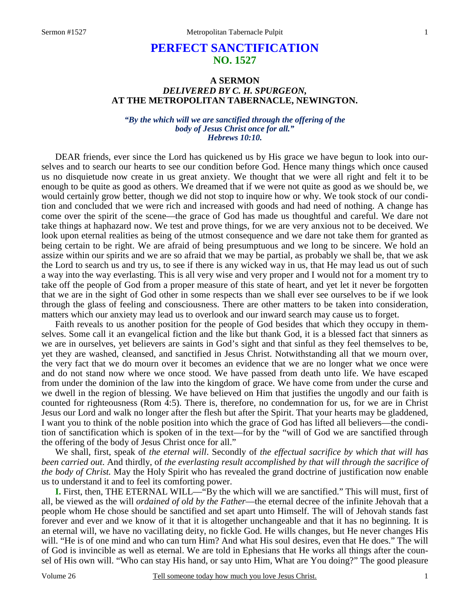# **PERFECT SANCTIFICATION NO. 1527**

# **A SERMON**  *DELIVERED BY C. H. SPURGEON,*  **AT THE METROPOLITAN TABERNACLE, NEWINGTON.**

*"By the which will we are sanctified through the offering of the body of Jesus Christ once for all." Hebrews 10:10.* 

DEAR friends, ever since the Lord has quickened us by His grace we have begun to look into ourselves and to search our hearts to see our condition before God. Hence many things which once caused us no disquietude now create in us great anxiety. We thought that we were all right and felt it to be enough to be quite as good as others. We dreamed that if we were not quite as good as we should be, we would certainly grow better, though we did not stop to inquire how or why. We took stock of our condition and concluded that we were rich and increased with goods and had need of nothing. A change has come over the spirit of the scene—the grace of God has made us thoughtful and careful. We dare not take things at haphazard now. We test and prove things, for we are very anxious not to be deceived. We look upon eternal realities as being of the utmost consequence and we dare not take them for granted as being certain to be right. We are afraid of being presumptuous and we long to be sincere. We hold an assize within our spirits and we are so afraid that we may be partial, as probably we shall be, that we ask the Lord to search us and try us, to see if there is any wicked way in us, that He may lead us out of such a way into the way everlasting. This is all very wise and very proper and I would not for a moment try to take off the people of God from a proper measure of this state of heart, and yet let it never be forgotten that we are in the sight of God other in some respects than we shall ever see ourselves to be if we look through the glass of feeling and consciousness. There are other matters to be taken into consideration, matters which our anxiety may lead us to overlook and our inward search may cause us to forget.

 Faith reveals to us another position for the people of God besides that which they occupy in themselves. Some call it an evangelical fiction and the like but thank God, it is a blessed fact that sinners as we are in ourselves, yet believers are saints in God's sight and that sinful as they feel themselves to be, yet they are washed, cleansed, and sanctified in Jesus Christ. Notwithstanding all that we mourn over, the very fact that we do mourn over it becomes an evidence that we are no longer what we once were and do not stand now where we once stood. We have passed from death unto life. We have escaped from under the dominion of the law into the kingdom of grace. We have come from under the curse and we dwell in the region of blessing. We have believed on Him that justifies the ungodly and our faith is counted for righteousness (Rom 4:5). There is, therefore, no condemnation for us, for we are in Christ Jesus our Lord and walk no longer after the flesh but after the Spirit. That your hearts may be gladdened, I want you to think of the noble position into which the grace of God has lifted all believers—the condition of sanctification which is spoken of in the text—for by the "will of God we are sanctified through the offering of the body of Jesus Christ once for all."

 We shall, first, speak of *the eternal will*. Secondly of *the effectual sacrifice by which that will has been carried out*. And thirdly, of *the everlasting result accomplished by that will through the sacrifice of the body of Christ.* May the Holy Spirit who has revealed the grand doctrine of justification now enable us to understand it and to feel its comforting power.

**I.** First, then, THE ETERNAL WILL—"By the which will we are sanctified." This will must, first of all, be viewed as the will *ordained of old by the Father*—the eternal decree of the infinite Jehovah that a people whom He chose should be sanctified and set apart unto Himself. The will of Jehovah stands fast forever and ever and we know of it that it is altogether unchangeable and that it has no beginning. It is an eternal will, we have no vacillating deity, no fickle God. He wills changes, but He never changes His will. "He is of one mind and who can turn Him? And what His soul desires, even that He does." The will of God is invincible as well as eternal. We are told in Ephesians that He works all things after the counsel of His own will. "Who can stay His hand, or say unto Him, What are You doing?" The good pleasure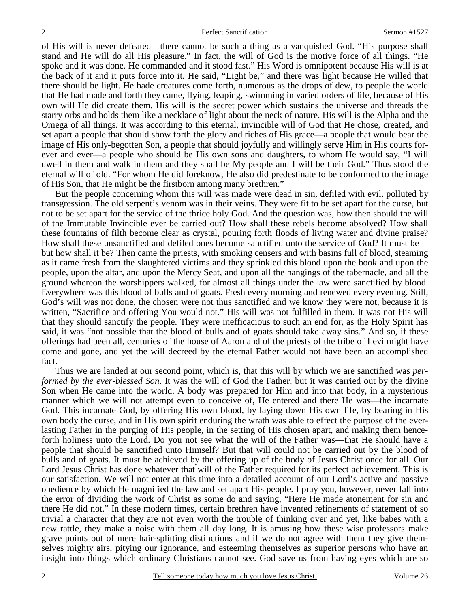of His will is never defeated—there cannot be such a thing as a vanquished God. "His purpose shall stand and He will do all His pleasure." In fact, the will of God is the motive force of all things. "He spoke and it was done. He commanded and it stood fast." His Word is omnipotent because His will is at the back of it and it puts force into it. He said, "Light be," and there was light because He willed that there should be light. He bade creatures come forth, numerous as the drops of dew, to people the world that He had made and forth they came, flying, leaping, swimming in varied orders of life, because of His own will He did create them. His will is the secret power which sustains the universe and threads the starry orbs and holds them like a necklace of light about the neck of nature. His will is the Alpha and the Omega of all things. It was according to this eternal, invincible will of God that He chose, created, and set apart a people that should show forth the glory and riches of His grace—a people that would bear the image of His only-begotten Son, a people that should joyfully and willingly serve Him in His courts forever and ever—a people who should be His own sons and daughters, to whom He would say, "I will dwell in them and walk in them and they shall be My people and I will be their God." Thus stood the eternal will of old. "For whom He did foreknow, He also did predestinate to be conformed to the image of His Son, that He might be the firstborn among many brethren."

 But the people concerning whom this will was made were dead in sin, defiled with evil, polluted by transgression. The old serpent's venom was in their veins. They were fit to be set apart for the curse, but not to be set apart for the service of the thrice holy God. And the question was, how then should the will of the Immutable Invincible ever be carried out? How shall these rebels become absolved? How shall these fountains of filth become clear as crystal, pouring forth floods of living water and divine praise? How shall these unsanctified and defiled ones become sanctified unto the service of God? It must be but how shall it be? Then came the priests, with smoking censers and with basins full of blood, steaming as it came fresh from the slaughtered victims and they sprinkled this blood upon the book and upon the people, upon the altar, and upon the Mercy Seat, and upon all the hangings of the tabernacle, and all the ground whereon the worshippers walked, for almost all things under the law were sanctified by blood. Everywhere was this blood of bulls and of goats. Fresh every morning and renewed every evening. Still, God's will was not done, the chosen were not thus sanctified and we know they were not, because it is written, "Sacrifice and offering You would not." His will was not fulfilled in them. It was not His will that they should sanctify the people. They were inefficacious to such an end for, as the Holy Spirit has said, it was "not possible that the blood of bulls and of goats should take away sins." And so, if these offerings had been all, centuries of the house of Aaron and of the priests of the tribe of Levi might have come and gone, and yet the will decreed by the eternal Father would not have been an accomplished fact.

 Thus we are landed at our second point, which is, that this will by which we are sanctified was *performed by the ever-blessed Son*. It was the will of God the Father, but it was carried out by the divine Son when He came into the world. A body was prepared for Him and into that body, in a mysterious manner which we will not attempt even to conceive of, He entered and there He was—the incarnate God. This incarnate God, by offering His own blood, by laying down His own life, by bearing in His own body the curse, and in His own spirit enduring the wrath was able to effect the purpose of the everlasting Father in the purging of His people, in the setting of His chosen apart, and making them henceforth holiness unto the Lord. Do you not see what the will of the Father was—that He should have a people that should be sanctified unto Himself? But that will could not be carried out by the blood of bulls and of goats. It must be achieved by the offering up of the body of Jesus Christ once for all. Our Lord Jesus Christ has done whatever that will of the Father required for its perfect achievement. This is our satisfaction. We will not enter at this time into a detailed account of our Lord's active and passive obedience by which He magnified the law and set apart His people. I pray you, however, never fall into the error of dividing the work of Christ as some do and saying, "Here He made atonement for sin and there He did not." In these modern times, certain brethren have invented refinements of statement of so trivial a character that they are not even worth the trouble of thinking over and yet, like babes with a new rattle, they make a noise with them all day long. It is amusing how these wise professors make grave points out of mere hair-splitting distinctions and if we do not agree with them they give themselves mighty airs, pitying our ignorance, and esteeming themselves as superior persons who have an insight into things which ordinary Christians cannot see. God save us from having eyes which are so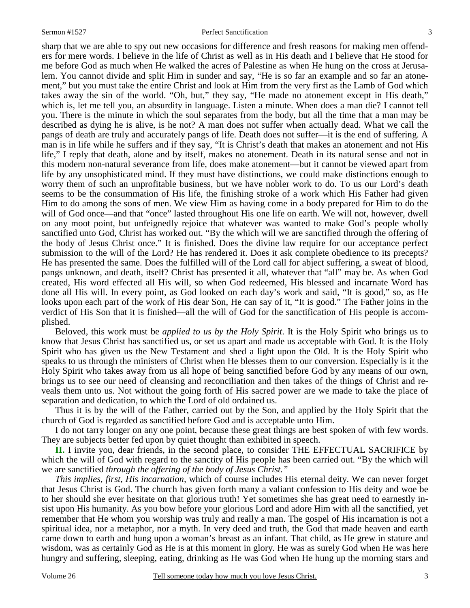#### Sermon #1527 **Perfect Sanctification** 3

sharp that we are able to spy out new occasions for difference and fresh reasons for making men offenders for mere words. I believe in the life of Christ as well as in His death and I believe that He stood for me before God as much when He walked the acres of Palestine as when He hung on the cross at Jerusalem. You cannot divide and split Him in sunder and say, "He is so far an example and so far an atonement," but you must take the entire Christ and look at Him from the very first as the Lamb of God which takes away the sin of the world. "Oh, but," they say, "He made no atonement except in His death," which is, let me tell you, an absurdity in language. Listen a minute. When does a man die? I cannot tell you. There is the minute in which the soul separates from the body, but all the time that a man may be described as dying he is alive, is he not? A man does not suffer when actually dead. What we call the pangs of death are truly and accurately pangs of life. Death does not suffer—it is the end of suffering. A man is in life while he suffers and if they say, "It is Christ's death that makes an atonement and not His life," I reply that death, alone and by itself, makes no atonement. Death in its natural sense and not in this modern non-natural severance from life, does make atonement—but it cannot be viewed apart from life by any unsophisticated mind. If they must have distinctions, we could make distinctions enough to worry them of such an unprofitable business, but we have nobler work to do. To us our Lord's death seems to be the consummation of His life, the finishing stroke of a work which His Father had given Him to do among the sons of men. We view Him as having come in a body prepared for Him to do the will of God once—and that "once" lasted throughout His one life on earth. We will not, however, dwell on any moot point, but unfeignedly rejoice that whatever was wanted to make God's people wholly sanctified unto God, Christ has worked out. "By the which will we are sanctified through the offering of the body of Jesus Christ once." It is finished. Does the divine law require for our acceptance perfect submission to the will of the Lord? He has rendered it. Does it ask complete obedience to its precepts? He has presented the same. Does the fulfilled will of the Lord call for abject suffering, a sweat of blood, pangs unknown, and death, itself? Christ has presented it all, whatever that "all" may be. As when God created, His word effected all His will, so when God redeemed, His blessed and incarnate Word has done all His will. In every point, as God looked on each day's work and said, "It is good," so, as He looks upon each part of the work of His dear Son, He can say of it, "It is good." The Father joins in the verdict of His Son that it is finished—all the will of God for the sanctification of His people is accomplished.

 Beloved, this work must be *applied to us by the Holy Spirit*. It is the Holy Spirit who brings us to know that Jesus Christ has sanctified us, or set us apart and made us acceptable with God. It is the Holy Spirit who has given us the New Testament and shed a light upon the Old. It is the Holy Spirit who speaks to us through the ministers of Christ when He blesses them to our conversion. Especially is it the Holy Spirit who takes away from us all hope of being sanctified before God by any means of our own, brings us to see our need of cleansing and reconciliation and then takes of the things of Christ and reveals them unto us. Not without the going forth of His sacred power are we made to take the place of separation and dedication, to which the Lord of old ordained us.

 Thus it is by the will of the Father, carried out by the Son, and applied by the Holy Spirit that the church of God is regarded as sanctified before God and is acceptable unto Him.

 I do not tarry longer on any one point, because these great things are best spoken of with few words. They are subjects better fed upon by quiet thought than exhibited in speech.

**II.** I invite you, dear friends, in the second place, to consider THE EFFECTUAL SACRIFICE by which the will of God with regard to the sanctity of His people has been carried out. "By the which will we are sanctified *through the offering of the body of Jesus Christ."*

*This implies, first, His incarnation,* which of course includes His eternal deity. We can never forget that Jesus Christ is God. The church has given forth many a valiant confession to His deity and woe be to her should she ever hesitate on that glorious truth! Yet sometimes she has great need to earnestly insist upon His humanity. As you bow before your glorious Lord and adore Him with all the sanctified, yet remember that He whom you worship was truly and really a man. The gospel of His incarnation is not a spiritual idea, nor a metaphor, nor a myth. In very deed and truth, the God that made heaven and earth came down to earth and hung upon a woman's breast as an infant. That child, as He grew in stature and wisdom, was as certainly God as He is at this moment in glory. He was as surely God when He was here hungry and suffering, sleeping, eating, drinking as He was God when He hung up the morning stars and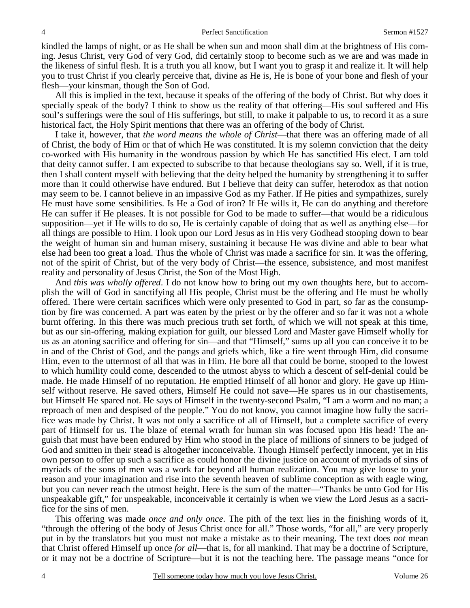kindled the lamps of night, or as He shall be when sun and moon shall dim at the brightness of His coming. Jesus Christ, very God of very God, did certainly stoop to become such as we are and was made in the likeness of sinful flesh. It is a truth you all know, but I want you to grasp it and realize it. It will help you to trust Christ if you clearly perceive that, divine as He is, He is bone of your bone and flesh of your flesh—your kinsman, though the Son of God.

 All this is implied in the text, because it speaks of the offering of the body of Christ. But why does it specially speak of the body? I think to show us the reality of that offering—His soul suffered and His soul's sufferings were the soul of His sufferings, but still, to make it palpable to us, to record it as a sure historical fact, the Holy Spirit mentions that there was an offering of the body of Christ.

 I take it, however, that *the word means the whole of Christ*—that there was an offering made of all of Christ, the body of Him or that of which He was constituted. It is my solemn conviction that the deity co-worked with His humanity in the wondrous passion by which He has sanctified His elect. I am told that deity cannot suffer. I am expected to subscribe to that because theologians say so. Well, if it is true, then I shall content myself with believing that the deity helped the humanity by strengthening it to suffer more than it could otherwise have endured. But I believe that deity can suffer, heterodox as that notion may seem to be. I cannot believe in an impassive God as my Father. If He pities and sympathizes, surely He must have some sensibilities. Is He a God of iron? If He wills it, He can do anything and therefore He can suffer if He pleases. It is not possible for God to be made to suffer—that would be a ridiculous supposition—yet if He wills to do so, He is certainly capable of doing that as well as anything else—for all things are possible to Him. I look upon our Lord Jesus as in His very Godhead stooping down to bear the weight of human sin and human misery, sustaining it because He was divine and able to bear what else had been too great a load. Thus the whole of Christ was made a sacrifice for sin. It was the offering, not of the spirit of Christ, but of the very body of Christ—the essence, subsistence, and most manifest reality and personality of Jesus Christ, the Son of the Most High.

 And *this was wholly offered*. I do not know how to bring out my own thoughts here, but to accomplish the will of God in sanctifying all His people, Christ must be the offering and He must be wholly offered. There were certain sacrifices which were only presented to God in part, so far as the consumption by fire was concerned. A part was eaten by the priest or by the offerer and so far it was not a whole burnt offering. In this there was much precious truth set forth, of which we will not speak at this time, but as our sin-offering, making expiation for guilt, our blessed Lord and Master gave Himself wholly for us as an atoning sacrifice and offering for sin—and that "Himself," sums up all you can conceive it to be in and of the Christ of God, and the pangs and griefs which, like a fire went through Him, did consume Him, even to the uttermost of all that was in Him. He bore all that could be borne, stooped to the lowest to which humility could come, descended to the utmost abyss to which a descent of self-denial could be made. He made Himself of no reputation. He emptied Himself of all honor and glory. He gave up Himself without reserve. He saved others, Himself He could not save—He spares us in our chastisements, but Himself He spared not. He says of Himself in the twenty-second Psalm, "I am a worm and no man; a reproach of men and despised of the people." You do not know, you cannot imagine how fully the sacrifice was made by Christ. It was not only a sacrifice of all of Himself, but a complete sacrifice of every part of Himself for us. The blaze of eternal wrath for human sin was focused upon His head! The anguish that must have been endured by Him who stood in the place of millions of sinners to be judged of God and smitten in their stead is altogether inconceivable. Though Himself perfectly innocent, yet in His own person to offer up such a sacrifice as could honor the divine justice on account of myriads of sins of myriads of the sons of men was a work far beyond all human realization. You may give loose to your reason and your imagination and rise into the seventh heaven of sublime conception as with eagle wing, but you can never reach the utmost height. Here is the sum of the matter—"Thanks be unto God for His unspeakable gift," for unspeakable, inconceivable it certainly is when we view the Lord Jesus as a sacrifice for the sins of men.

 This offering was made *once and only once*. The pith of the text lies in the finishing words of it, "through the offering of the body of Jesus Christ once for all." Those words, "for all," are very properly put in by the translators but you must not make a mistake as to their meaning. The text does *not* mean that Christ offered Himself up once *for all*—that is, for all mankind. That may be a doctrine of Scripture, or it may not be a doctrine of Scripture—but it is not the teaching here. The passage means "once for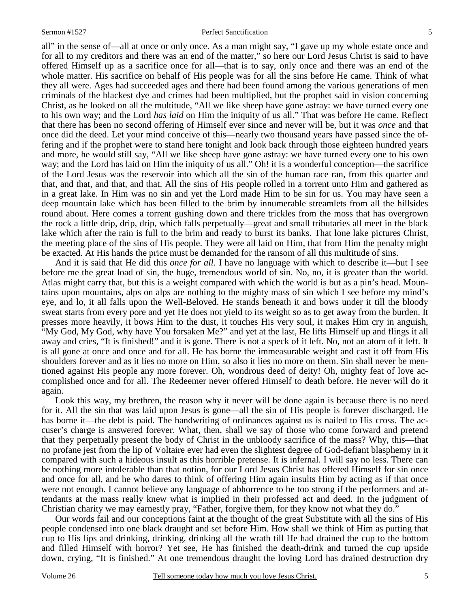all" in the sense of—all at once or only once. As a man might say, "I gave up my whole estate once and for all to my creditors and there was an end of the matter," so here our Lord Jesus Christ is said to have offered Himself up as a sacrifice once for all—that is to say, only once and there was an end of the whole matter. His sacrifice on behalf of His people was for all the sins before He came. Think of what they all were. Ages had succeeded ages and there had been found among the various generations of men criminals of the blackest dye and crimes had been multiplied, but the prophet said in vision concerning Christ, as he looked on all the multitude, "All we like sheep have gone astray: we have turned every one to his own way; and the Lord *has laid* on Him the iniquity of us all." That was before He came. Reflect that there has been no second offering of Himself ever since and never will be, but it was *once* and that once did the deed. Let your mind conceive of this—nearly two thousand years have passed since the offering and if the prophet were to stand here tonight and look back through those eighteen hundred years and more, he would still say, "All we like sheep have gone astray: we have turned every one to his own way; and the Lord has laid on Him the iniquity of us all." Oh! it is a wonderful conception—the sacrifice of the Lord Jesus was the reservoir into which all the sin of the human race ran, from this quarter and that, and that, and that, and that. All the sins of His people rolled in a torrent unto Him and gathered as in a great lake. In Him was no sin and yet the Lord made Him to be sin for us. You may have seen a deep mountain lake which has been filled to the brim by innumerable streamlets from all the hillsides round about. Here comes a torrent gushing down and there trickles from the moss that has overgrown the rock a little drip, drip, drip, which falls perpetually—great and small tributaries all meet in the black lake which after the rain is full to the brim and ready to burst its banks. That lone lake pictures Christ, the meeting place of the sins of His people. They were all laid on Him, that from Him the penalty might be exacted. At His hands the price must be demanded for the ransom of all this multitude of sins.

 And it is said that He did this *once for all*. I have no language with which to describe it—but I see before me the great load of sin, the huge, tremendous world of sin. No, no, it is greater than the world. Atlas might carry that, but this is a weight compared with which the world is but as a pin's head. Mountains upon mountains, alps on alps are nothing to the mighty mass of sin which I see before my mind's eye, and lo, it all falls upon the Well-Beloved. He stands beneath it and bows under it till the bloody sweat starts from every pore and yet He does not yield to its weight so as to get away from the burden. It presses more heavily, it bows Him to the dust, it touches His very soul, it makes Him cry in anguish, "My God, My God, why have You forsaken Me?" and yet at the last, He lifts Himself up and flings it all away and cries, "It is finished!" and it is gone. There is not a speck of it left. No, not an atom of it left. It is all gone at once and once and for all. He has borne the immeasurable weight and cast it off from His shoulders forever and as it lies no more on Him, so also it lies no more on them. Sin shall never be mentioned against His people any more forever. Oh, wondrous deed of deity! Oh, mighty feat of love accomplished once and for all. The Redeemer never offered Himself to death before. He never will do it again.

 Look this way, my brethren, the reason why it never will be done again is because there is no need for it. All the sin that was laid upon Jesus is gone—all the sin of His people is forever discharged. He has borne it—the debt is paid. The handwriting of ordinances against us is nailed to His cross. The accuser's charge is answered forever. What, then, shall we say of those who come forward and pretend that they perpetually present the body of Christ in the unbloody sacrifice of the mass? Why, this—that no profane jest from the lip of Voltaire ever had even the slightest degree of God-defiant blasphemy in it compared with such a hideous insult as this horrible pretense. It is infernal. I will say no less. There can be nothing more intolerable than that notion, for our Lord Jesus Christ has offered Himself for sin once and once for all, and he who dares to think of offering Him again insults Him by acting as if that once were not enough. I cannot believe any language of abhorrence to be too strong if the performers and attendants at the mass really knew what is implied in their professed act and deed. In the judgment of Christian charity we may earnestly pray, "Father, forgive them, for they know not what they do."

 Our words fail and our conceptions faint at the thought of the great Substitute with all the sins of His people condensed into one black draught and set before Him. How shall we think of Him as putting that cup to His lips and drinking, drinking, drinking all the wrath till He had drained the cup to the bottom and filled Himself with horror? Yet see, He has finished the death-drink and turned the cup upside down, crying, "It is finished." At one tremendous draught the loving Lord has drained destruction dry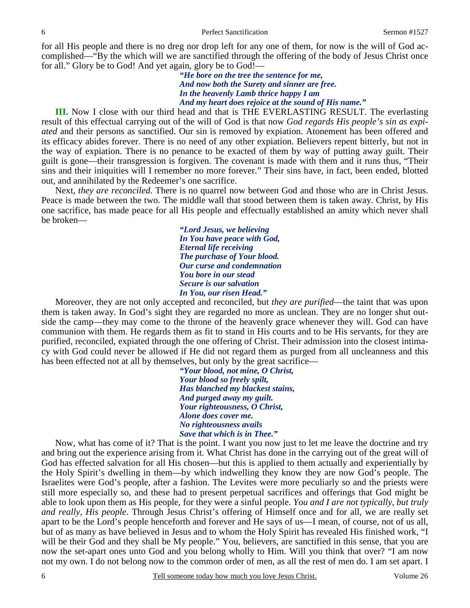for all His people and there is no dreg nor drop left for any one of them, for now is the will of God accomplished—"By the which will we are sanctified through the offering of the body of Jesus Christ once for all." Glory be to God! And yet again, glory be to God!—

> *"He bore on the tree the sentence for me, And now both the Surety and sinner are free. In the heavenly Lamb thrice happy I am And my heart does rejoice at the sound of His name."*

**III.** Now I close with our third head and that is THE EVERLASTING RESULT. The everlasting result of this effectual carrying out of the will of God is that now *God regards His people's sin as expiated* and their persons as sanctified. Our sin is removed by expiation. Atonement has been offered and its efficacy abides forever. There is no need of any other expiation. Believers repent bitterly, but not in the way of expiation. There is no penance to be exacted of them by way of putting away guilt. Their guilt is gone—their transgression is forgiven. The covenant is made with them and it runs thus, "Their sins and their iniquities will I remember no more forever." Their sins have, in fact, been ended, blotted out, and annihilated by the Redeemer's one sacrifice.

 Next, *they are reconciled*. There is no quarrel now between God and those who are in Christ Jesus. Peace is made between the two. The middle wall that stood between them is taken away. Christ, by His one sacrifice, has made peace for all His people and effectually established an amity which never shall be broken—

> *"Lord Jesus, we believing In You have peace with God, Eternal life receiving The purchase of Your blood. Our curse and condemnation You bore in our stead Secure is our salvation In You, our risen Head."*

 Moreover, they are not only accepted and reconciled, but *they are purified*—the taint that was upon them is taken away. In God's sight they are regarded no more as unclean. They are no longer shut outside the camp—they may come to the throne of the heavenly grace whenever they will. God can have communion with them. He regards them as fit to stand in His courts and to be His servants, for they are purified, reconciled, expiated through the one offering of Christ. Their admission into the closest intimacy with God could never be allowed if He did not regard them as purged from all uncleanness and this has been effected not at all by themselves, but only by the great sacrifice—

> *"Your blood, not mine, O Christ, Your blood so freely spilt, Has blanched my blackest stains, And purged away my guilt. Your righteousness, O Christ, Alone does cover me. No righteousness avails Save that which is in Thee."*

Now, what has come of it? That is the point. I want you now just to let me leave the doctrine and try and bring out the experience arising from it. What Christ has done in the carrying out of the great will of God has effected salvation for all His chosen—but this is applied to them actually and experientially by the Holy Spirit's dwelling in them—by which indwelling they know they are now God's people. The Israelites were God's people, after a fashion. The Levites were more peculiarly so and the priests were still more especially so, and these had to present perpetual sacrifices and offerings that God might be able to look upon them as His people, for they were a sinful people. *You and I are not typically, but truly and really, His people*. Through Jesus Christ's offering of Himself once and for all, we are really set apart to be the Lord's people henceforth and forever and He says of us—I mean, of course, not of us all, but of as many as have believed in Jesus and to whom the Holy Spirit has revealed His finished work, "I will be their God and they shall be My people." You, believers, are sanctified in this sense, that you are now the set-apart ones unto God and you belong wholly to Him. Will you think that over? "I am now not my own. I do not belong now to the common order of men, as all the rest of men do. I am set apart. I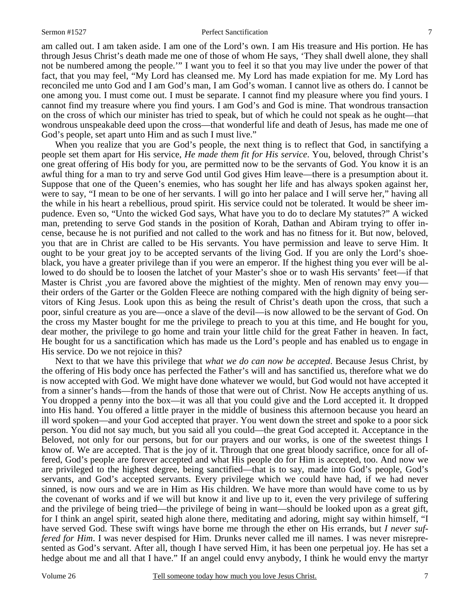#### Sermon #1527 **Perfect Sanctification** 7

am called out. I am taken aside. I am one of the Lord's own. I am His treasure and His portion. He has through Jesus Christ's death made me one of those of whom He says, 'They shall dwell alone, they shall not be numbered among the people.'" I want you to feel it so that you may live under the power of that fact, that you may feel, "My Lord has cleansed me. My Lord has made expiation for me. My Lord has reconciled me unto God and I am God's man, I am God's woman. I cannot live as others do. I cannot be one among you. I must come out. I must be separate. I cannot find my pleasure where you find yours. I cannot find my treasure where you find yours. I am God's and God is mine. That wondrous transaction on the cross of which our minister has tried to speak, but of which he could not speak as he ought—that wondrous unspeakable deed upon the cross—that wonderful life and death of Jesus, has made me one of God's people, set apart unto Him and as such I must live."

When you realize that you are God's people, the next thing is to reflect that God, in sanctifying a people set them apart for His service, *He made them fit for His service*. You, beloved, through Christ's one great offering of His body for you, are permitted now to be the servants of God. You know it is an awful thing for a man to try and serve God until God gives Him leave—there is a presumption about it. Suppose that one of the Queen's enemies, who has sought her life and has always spoken against her, were to say, "I mean to be one of her servants. I will go into her palace and I will serve her," having all the while in his heart a rebellious, proud spirit. His service could not be tolerated. It would be sheer impudence. Even so, "Unto the wicked God says, What have you to do to declare My statutes?" A wicked man, pretending to serve God stands in the position of Korah, Dathan and Abiram trying to offer incense, because he is not purified and not called to the work and has no fitness for it. But now, beloved, you that are in Christ are called to be His servants. You have permission and leave to serve Him. It ought to be your great joy to be accepted servants of the living God. If you are only the Lord's shoeblack, you have a greater privilege than if you were an emperor. If the highest thing you ever will be allowed to do should be to loosen the latchet of your Master's shoe or to wash His servants' feet—if that Master is Christ ,you are favored above the mightiest of the mighty. Men of renown may envy you their orders of the Garter or the Golden Fleece are nothing compared with the high dignity of being servitors of King Jesus. Look upon this as being the result of Christ's death upon the cross, that such a poor, sinful creature as you are—once a slave of the devil—is now allowed to be the servant of God. On the cross my Master bought for me the privilege to preach to you at this time, and He bought for you, dear mother, the privilege to go home and train your little child for the great Father in heaven. In fact, He bought for us a sanctification which has made us the Lord's people and has enabled us to engage in His service. Do we not rejoice in this?

 Next to that we have this privilege that *what we do can now be accepted*. Because Jesus Christ, by the offering of His body once has perfected the Father's will and has sanctified us, therefore what we do is now accepted with God. We might have done whatever we would, but God would not have accepted it from a sinner's hands—from the hands of those that were out of Christ. Now He accepts anything of us. You dropped a penny into the box—it was all that you could give and the Lord accepted it. It dropped into His hand. You offered a little prayer in the middle of business this afternoon because you heard an ill word spoken—and your God accepted that prayer. You went down the street and spoke to a poor sick person. You did not say much, but you said all you could—the great God accepted it. Acceptance in the Beloved, not only for our persons, but for our prayers and our works, is one of the sweetest things I know of. We are accepted. That is the joy of it. Through that one great bloody sacrifice, once for all offered, God's people are forever accepted and what His people do for Him is accepted, too. And now we are privileged to the highest degree, being sanctified—that is to say, made into God's people, God's servants, and God's accepted servants. Every privilege which we could have had, if we had never sinned, is now ours and we are in Him as His children. We have more than would have come to us by the covenant of works and if we will but know it and live up to it, even the very privilege of suffering and the privilege of being tried—the privilege of being in want—should be looked upon as a great gift, for I think an angel spirit, seated high alone there, meditating and adoring, might say within himself, "I have served God. These swift wings have borne me through the ether on His errands, but *I never suffered for Him*. I was never despised for Him. Drunks never called me ill names. I was never misrepresented as God's servant. After all, though I have served Him, it has been one perpetual joy. He has set a hedge about me and all that I have." If an angel could envy anybody, I think he would envy the martyr